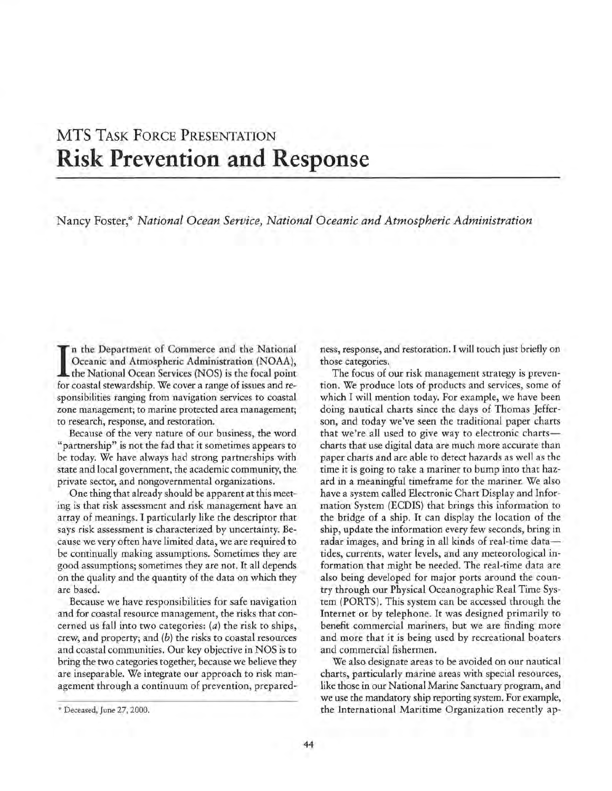## **MTS** TASK FORCE PRESENTATION **Risk Prevention and Response**

Nancy Foster,'~ *National Ocean Service, National Oceanic and Atmospheric Administration* 

In the Department of Commerce and the National Oceanic and Atmospheric Administration (NOAA), the National Ocean Services (NOS) is the focal point for coastal stewardship. We cover a range of issues and ren the Department of Commerce and the National Oceanic and Atmospheric Administration (NOAA), the National Ocean Services (NOS) is the focal point. sponsibilities ranging from navigation services to coastal zone management; to marine protected area management; to research, response, and restoration.

Because of the very nature of our business, the word "partnership" is not the fad that it sometimes appears to be today. We have always had strong partnerships with state and local government, the academic community, the private sector, and nongovernmental organizations.

One thing that already should be apparent at this meeting is that risk assessment and risk management have an array of meanings. I particularly like the descriptor that says risk assessment is characterized by uncertainty. Because we very often have limited data, we are required to be continually making assumptions. Sometimes they are good assumptions; sometimes they are not. It all depends on the quality and the quantity of the data on which they are based.

Because we have responsibilities for safe navigation and for coastal resource management, the risks that concerned us fall into two categories: (a) the risk to ships, crew, and property; and  $(b)$  the risks to coastal resources and coastal communities. Our key objective in NOS is to bring the two categories together, because we believe they are inseparable. We integrate our approach to risk management through a continuum of prevention, preparedness, response, and restoration. I will touch just briefly on those categories.

The focus of our risk management strategy is prevention. We produce lots of products and services, some of which I will mention today. For example, we have been doing nautical charts since the days of Thomas Jefferson, and today we've seen the traditional paper charts that we're all used to give way to electronic chartscharts that use digital data are much more accurate than paper charts and are able to detect hazards as well as the time it is going to take a mariner to bump into that hazard in a meaningful timeframe for the mariner. We also have a system called Electronic Chart Display and Information System (ECDIS) that brings this information to the bridge of a ship. It can display the location of the ship, update the information every few seconds, bring in radar images, and bring in all kinds of real-time datatides, currents, water levels, and any meteorological information that might be needed. The real-time data are also being developed for major ports around the country through our Physical Oceanographic Real Time System (PORTS). This system can be accessed through the Internet or by telephone. It was designed primarily to benefit commercial mariners, but we are finding more and more that it is being used by recreational boaters and commercial fishermen.

We also designate areas to be avoided on our nautical charts, particularly marine areas with special resources, like those in our National Marine Sanctuary program, and we use the mandatory ship reporting system. For example, the International Maritime Organization recently ap-

<sup>\*</sup> Deceased, June 27, 2000.